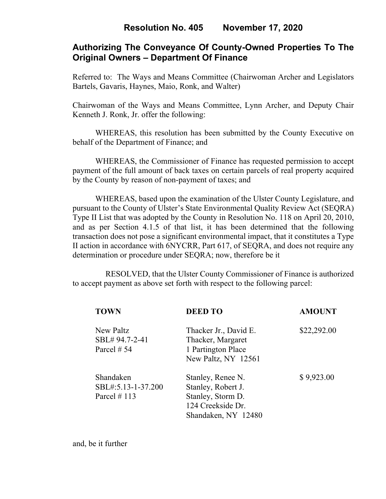# **Resolution No. 405 November 17, 2020**

# **Authorizing The Conveyance Of County-Owned Properties To The Original Owners – Department Of Finance**

Referred to: The Ways and Means Committee (Chairwoman Archer and Legislators Bartels, Gavaris, Haynes, Maio, Ronk, and Walter)

Chairwoman of the Ways and Means Committee, Lynn Archer, and Deputy Chair Kenneth J. Ronk, Jr. offer the following:

WHEREAS, this resolution has been submitted by the County Executive on behalf of the Department of Finance; and

WHEREAS, the Commissioner of Finance has requested permission to accept payment of the full amount of back taxes on certain parcels of real property acquired by the County by reason of non-payment of taxes; and

WHEREAS, based upon the examination of the Ulster County Legislature, and pursuant to the County of Ulster's State Environmental Quality Review Act (SEQRA) Type II List that was adopted by the County in Resolution No. 118 on April 20, 2010, and as per Section 4.1.5 of that list, it has been determined that the following transaction does not pose a significant environmental impact, that it constitutes a Type II action in accordance with 6NYCRR, Part 617, of SEQRA, and does not require any determination or procedure under SEQRA; now, therefore be it

 RESOLVED, that the Ulster County Commissioner of Finance is authorized to accept payment as above set forth with respect to the following parcel:

| <b>TOWN</b>                 | <b>DEED TO</b>                             | <b>AMOUNT</b> |
|-----------------------------|--------------------------------------------|---------------|
| New Paltz<br>SBL# 94.7-2-41 | Thacker Jr., David E.<br>Thacker, Margaret | \$22,292.00   |
| Parcel $# 54$               | 1 Partington Place<br>New Paltz, NY 12561  |               |
| Shandaken                   | Stanley, Renee N.                          | \$9,923.00    |
| SBL#:5.13-1-37.200          | Stanley, Robert J.                         |               |
| Parcel $#113$               | Stanley, Storm D.                          |               |
|                             | 124 Creekside Dr.                          |               |
|                             | Shandaken, NY 12480                        |               |

and, be it further